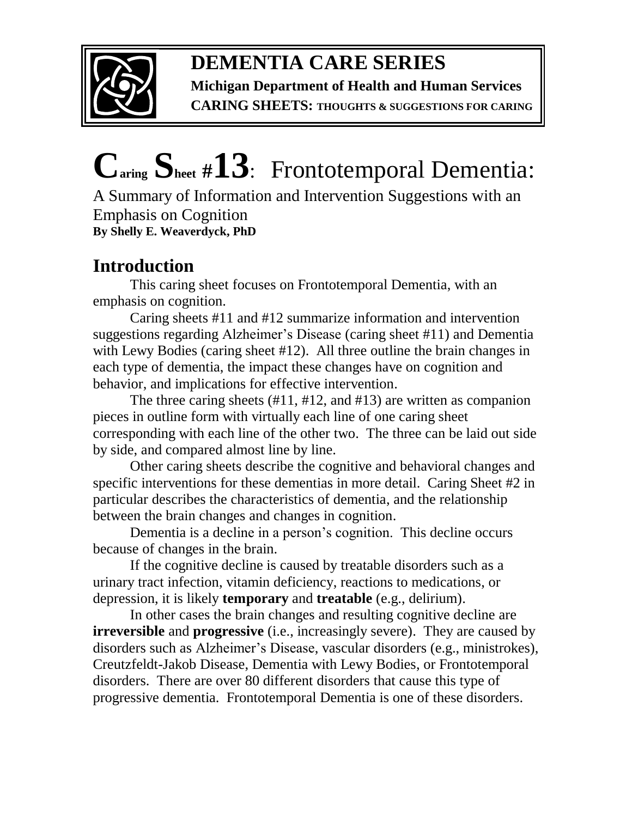

**DEMENTIA CARE SERIES** 

**Michigan Department of Health and Human Services** 

**CARING SHEETS: THOUGHTS & SUGGESTIONS FOR CARING**

# **Caring Sheet #13**:Frontotemporal Dementia:

A Summary of Information and Intervention Suggestions with an Emphasis on Cognition **By Shelly E. Weaverdyck, PhD**

# **Introduction**

This caring sheet focuses on Frontotemporal Dementia, with an emphasis on cognition.

Caring sheets #11 and #12 summarize information and intervention suggestions regarding Alzheimer's Disease (caring sheet #11) and Dementia with Lewy Bodies (caring sheet #12). All three outline the brain changes in each type of dementia, the impact these changes have on cognition and behavior, and implications for effective intervention.

The three caring sheets (#11, #12, and #13) are written as companion pieces in outline form with virtually each line of one caring sheet corresponding with each line of the other two. The three can be laid out side by side, and compared almost line by line.

Other caring sheets describe the cognitive and behavioral changes and specific interventions for these dementias in more detail. Caring Sheet #2 in particular describes the characteristics of dementia, and the relationship between the brain changes and changes in cognition.

Dementia is a decline in a person's cognition. This decline occurs because of changes in the brain.

If the cognitive decline is caused by treatable disorders such as a urinary tract infection, vitamin deficiency, reactions to medications, or depression, it is likely **temporary** and **treatable** (e.g., delirium).

In other cases the brain changes and resulting cognitive decline are **irreversible** and **progressive** (i.e., increasingly severe). They are caused by disorders such as Alzheimer's Disease, vascular disorders (e.g., ministrokes), Creutzfeldt-Jakob Disease, Dementia with Lewy Bodies, or Frontotemporal disorders. There are over 80 different disorders that cause this type of progressive dementia. Frontotemporal Dementia is one of these disorders.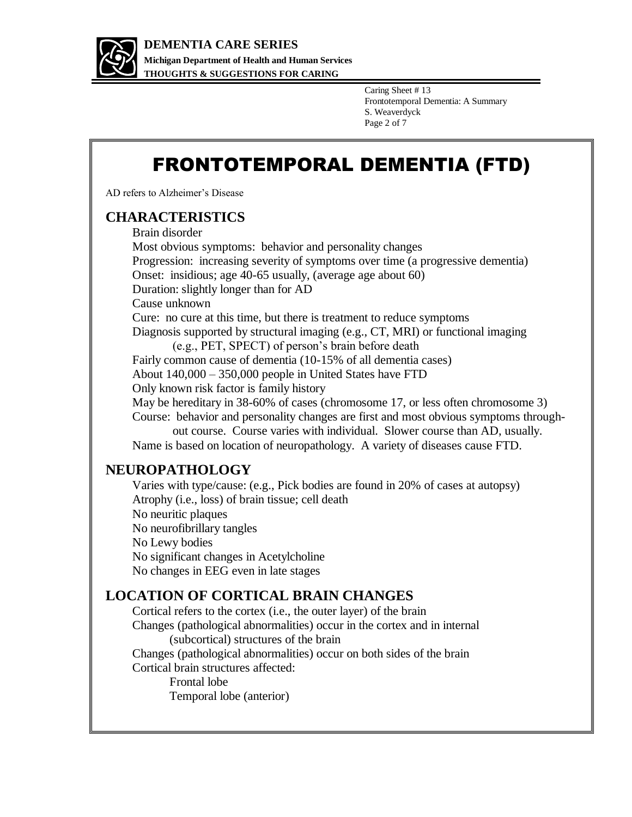

Caring Sheet # 13 Frontotemporal Dementia: A Summary S. Weaverdyck Page 2 of 7

# FRONTOTEMPORAL DEMENTIA (FTD)

AD refers to Alzheimer's Disease

#### **CHARACTERISTICS**

Brain disorder

Most obvious symptoms: behavior and personality changes Progression: increasing severity of symptoms over time (a progressive dementia) Onset: insidious; age 40-65 usually, (average age about 60) Duration: slightly longer than for AD Cause unknown Cure: no cure at this time, but there is treatment to reduce symptoms Diagnosis supported by structural imaging (e.g., CT, MRI) or functional imaging (e.g., PET, SPECT) of person's brain before death Fairly common cause of dementia (10-15% of all dementia cases) About 140,000 – 350,000 people in United States have FTD Only known risk factor is family history May be hereditary in 38-60% of cases (chromosome 17, or less often chromosome 3) Course: behavior and personality changes are first and most obvious symptoms through out course. Course varies with individual. Slower course than AD, usually. Name is based on location of neuropathology. A variety of diseases cause FTD.

## **NEUROPATHOLOGY**

Varies with type/cause: (e.g., Pick bodies are found in 20% of cases at autopsy) Atrophy (i.e., loss) of brain tissue; cell death No neuritic plaques No neurofibrillary tangles No Lewy bodies No significant changes in Acetylcholine No changes in EEG even in late stages

## **LOCATION OF CORTICAL BRAIN CHANGES**

Cortical refers to the cortex (i.e., the outer layer) of the brain Changes (pathological abnormalities) occur in the cortex and in internal (subcortical) structures of the brain

Changes (pathological abnormalities) occur on both sides of the brain Cortical brain structures affected:

> Frontal lobe Temporal lobe (anterior)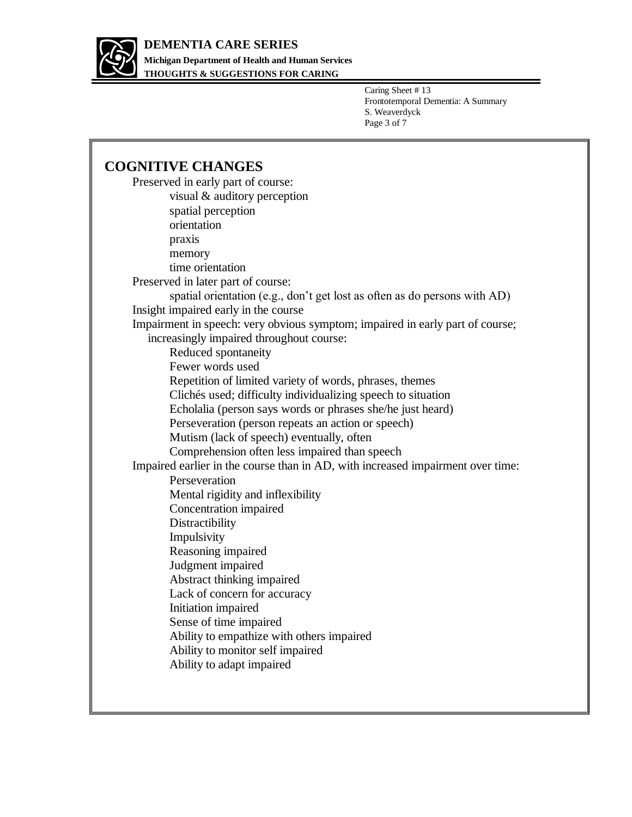

**THOUGHTS & SUGGESTIONS FOR CARING**

Caring Sheet # 13 Frontotemporal Dementia: A Summary S. Weaverdyck Page 3 of 7

## **COGNITIVE CHANGES**

| Preserved in early part of course:                                              |
|---------------------------------------------------------------------------------|
| visual & auditory perception                                                    |
| spatial perception                                                              |
| orientation                                                                     |
| praxis                                                                          |
| memory                                                                          |
| time orientation                                                                |
| Preserved in later part of course:                                              |
| spatial orientation (e.g., don't get lost as often as do persons with AD)       |
| Insight impaired early in the course                                            |
| Impairment in speech: very obvious symptom; impaired in early part of course;   |
| increasingly impaired throughout course:                                        |
| Reduced spontaneity                                                             |
| Fewer words used                                                                |
| Repetition of limited variety of words, phrases, themes                         |
| Clichés used; difficulty individualizing speech to situation                    |
| Echolalia (person says words or phrases she/he just heard)                      |
| Perseveration (person repeats an action or speech)                              |
| Mutism (lack of speech) eventually, often                                       |
| Comprehension often less impaired than speech                                   |
| Impaired earlier in the course than in AD, with increased impairment over time: |
| Perseveration                                                                   |
| Mental rigidity and inflexibility                                               |
| Concentration impaired                                                          |
| Distractibility                                                                 |
| Impulsivity                                                                     |
| Reasoning impaired                                                              |
| Judgment impaired                                                               |
| Abstract thinking impaired                                                      |
| Lack of concern for accuracy                                                    |
| Initiation impaired                                                             |
| Sense of time impaired                                                          |
| Ability to empathize with others impaired                                       |
| Ability to monitor self impaired                                                |
| Ability to adapt impaired                                                       |
|                                                                                 |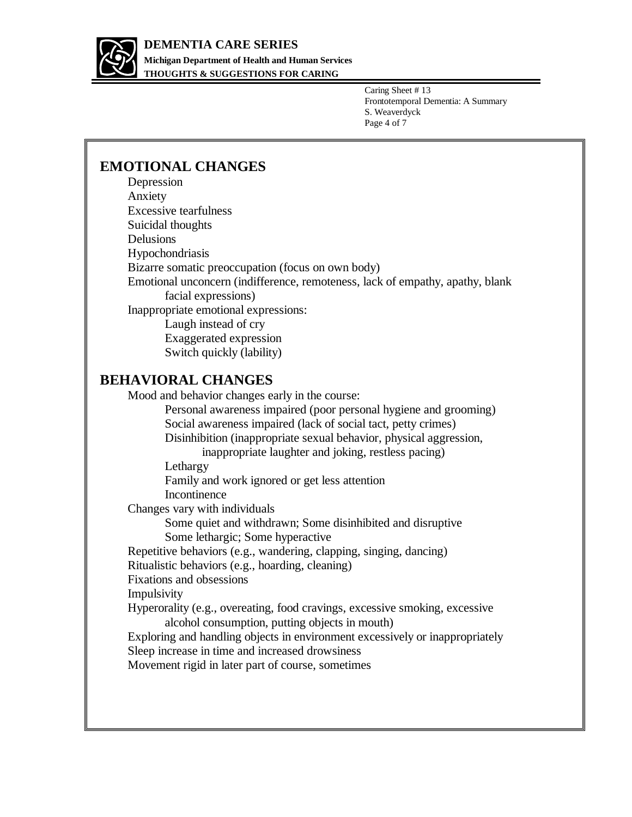

**THOUGHTS & SUGGESTIONS FOR CARING**

Caring Sheet # 13 Frontotemporal Dementia: A Summary S. Weaverdyck Page 4 of 7

## **EMOTIONAL CHANGES**

| Depression                                                                    |
|-------------------------------------------------------------------------------|
| Anxiety                                                                       |
| <b>Excessive tearfulness</b>                                                  |
| Suicidal thoughts                                                             |
| Delusions                                                                     |
| Hypochondriasis                                                               |
| Bizarre somatic preoccupation (focus on own body)                             |
| Emotional unconcern (indifference, remoteness, lack of empathy, apathy, blank |
| facial expressions)                                                           |
| Inappropriate emotional expressions:                                          |
| Laugh instead of cry                                                          |
| Exaggerated expression                                                        |
| Switch quickly (lability)                                                     |
| <b>BEHAVIORAL CHANGES</b>                                                     |
| Mood and behavior changes early in the course:                                |
| Personal awareness impaired (poor personal hygiene and grooming)              |
| Social awareness impaired (lack of social tact, petty crimes)                 |
| Disinhibition (inappropriate sexual behavior, physical aggression,            |
| inappropriate laughter and joking, restless pacing)                           |

Lethargy

Family and work ignored or get less attention

Incontinence

Changes vary with individuals

Some quiet and withdrawn; Some disinhibited and disruptive

Some lethargic; Some hyperactive

Repetitive behaviors (e.g., wandering, clapping, singing, dancing)

Ritualistic behaviors (e.g., hoarding, cleaning)

Fixations and obsessions

Impulsivity

Hyperorality (e.g., overeating, food cravings, excessive smoking, excessive alcohol consumption, putting objects in mouth)

Exploring and handling objects in environment excessively or inappropriately Sleep increase in time and increased drowsiness

Movement rigid in later part of course, sometimes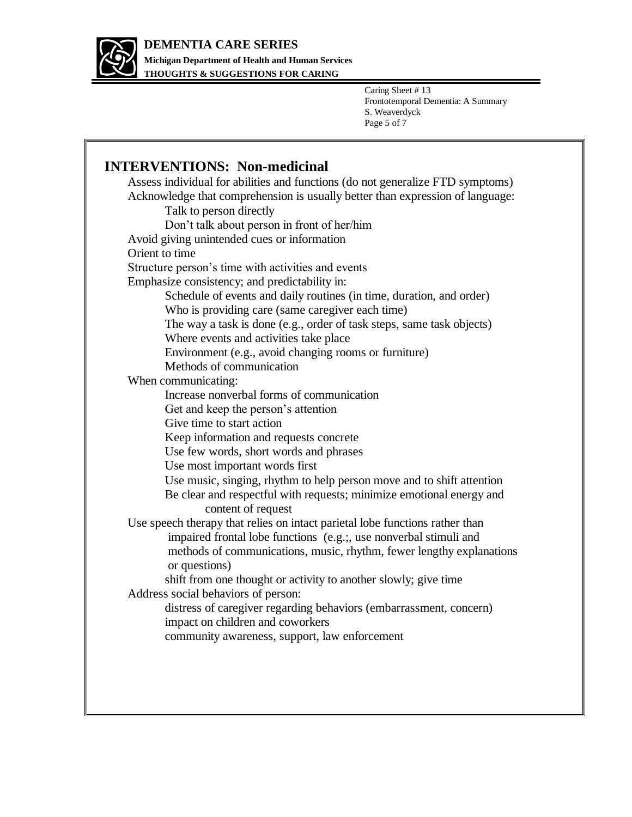

**THOUGHTS & SUGGESTIONS FOR CARING**

Caring Sheet # 13 Frontotemporal Dementia: A Summary S. Weaverdyck Page 5 of 7

1

| <b>INTERVENTIONS: Non-medicinal</b>                                            |
|--------------------------------------------------------------------------------|
| Assess individual for abilities and functions (do not generalize FTD symptoms) |
| Acknowledge that comprehension is usually better than expression of language:  |
| Talk to person directly                                                        |
| Don't talk about person in front of her/him                                    |
| Avoid giving unintended cues or information                                    |
| Orient to time                                                                 |
| Structure person's time with activities and events                             |
| Emphasize consistency; and predictability in:                                  |
| Schedule of events and daily routines (in time, duration, and order)           |
| Who is providing care (same caregiver each time)                               |
| The way a task is done (e.g., order of task steps, same task objects)          |
| Where events and activities take place                                         |
| Environment (e.g., avoid changing rooms or furniture)                          |
| Methods of communication                                                       |
| When communicating:                                                            |
| Increase nonverbal forms of communication                                      |
| Get and keep the person's attention                                            |
| Give time to start action                                                      |
| Keep information and requests concrete                                         |
| Use few words, short words and phrases                                         |
| Use most important words first                                                 |
| Use music, singing, rhythm to help person move and to shift attention          |
| Be clear and respectful with requests; minimize emotional energy and           |
| content of request                                                             |
| Use speech therapy that relies on intact parietal lobe functions rather than   |
| impaired frontal lobe functions (e.g.; use nonverbal stimuli and               |
| methods of communications, music, rhythm, fewer lengthy explanations           |
| or questions)                                                                  |
| shift from one thought or activity to another slowly; give time                |
| Address social behaviors of person:                                            |
| distress of caregiver regarding behaviors (embarrassment, concern)             |
| impact on children and coworkers                                               |
| community awareness, support, law enforcement                                  |
|                                                                                |
|                                                                                |
|                                                                                |
|                                                                                |
|                                                                                |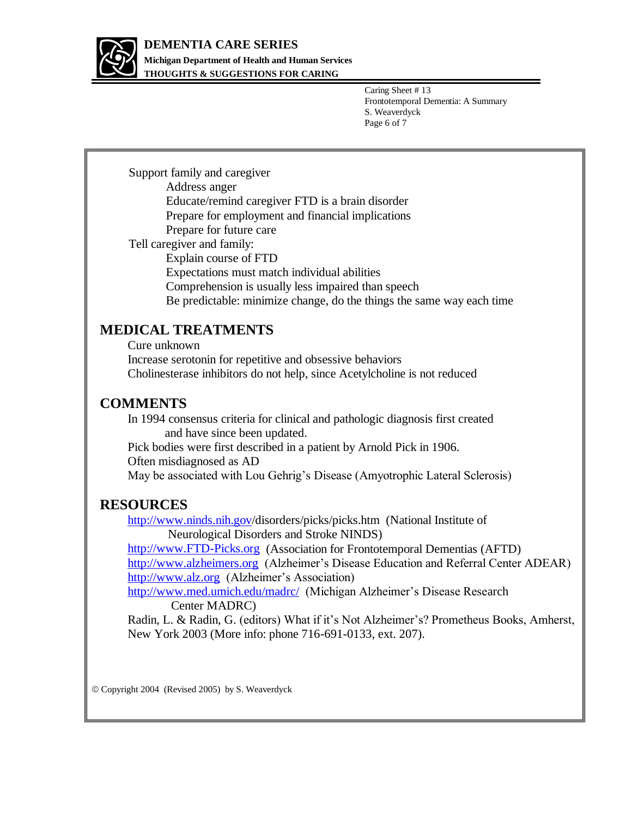

## **DEMENTIA CARE SERIES**

**Michigan Department of Health and Human Services THOUGHTS & SUGGESTIONS FOR CARING**

> Caring Sheet # 13 Frontotemporal Dementia: A Summary S. Weaverdyck Page 6 of 7

Support family and caregiver Address anger Educate/remind caregiver FTD is a brain disorder Prepare for employment and financial implications Prepare for future care Tell caregiver and family: Explain course of FTD Expectations must match individual abilities Comprehension is usually less impaired than speech Be predictable: minimize change, do the things the same way each time

## **MEDICAL TREATMENTS**

Cure unknown Increase serotonin for repetitive and obsessive behaviors Cholinesterase inhibitors do not help, since Acetylcholine is not reduced

## **COMMENTS**

In 1994 consensus criteria for clinical and pathologic diagnosis first created and have since been updated.

Pick bodies were first described in a patient by Arnold Pick in 1906.

Often misdiagnosed as AD

May be associated with Lou Gehrig's Disease (Amyotrophic Lateral Sclerosis)

## **RESOURCES**

<http://www.ninds.nih.gov/>disorders/picks/picks.htm (National Institute of Neurological Disorders and Stroke NINDS)

[http://www.FTD-Picks.org](http://www.ftd-picks.org/) (Association for Frontotemporal Dementias (AFTD) [http://www.alzheimers.org](http://www.alzheimers.org/) (Alzheimer's Disease Education and Referral Center ADEAR) [http://www.alz.org](http://www.alz.org/) (Alzheimer's Association)

<http://www.med.umich.edu/madrc/>(Michigan Alzheimer's Disease Research Center MADRC)

Radin, L. & Radin, G. (editors) What if it's Not Alzheimer's? Prometheus Books, Amherst, New York 2003 (More info: phone 716-691-0133, ext. 207).

Copyright 2004 (Revised 2005) by S. Weaverdyck